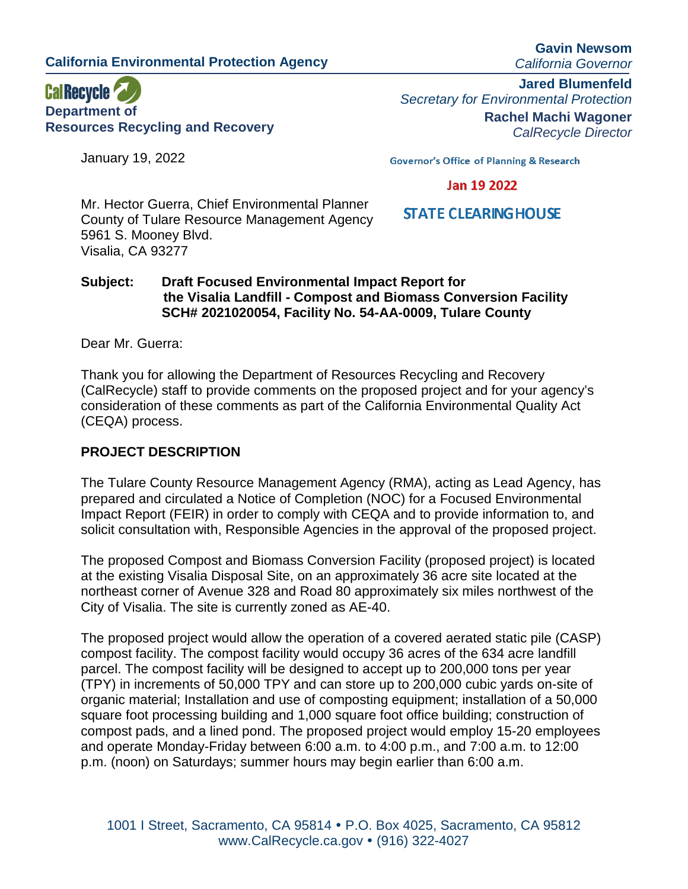**California Environmental Protection Agency**

**CalRecycle Department of Resources Recycling and Recovery**

January 19, 2022

**Gavin Newsom** *California Governor*

**Jared Blumenfeld** *Secretary for Environmental Protection* **Rachel Machi Wagoner** *CalRecycle Director*

**Governor's Office of Planning & Research** 

## Jan 19 2022

**STATE CLEARING HOUSE** 

Mr. Hector Guerra, Chief Environmental Planner County of Tulare Resource Management Agency 5961 S. Mooney Blvd. Visalia, CA 93277

### **Subject: Draft Focused Environmental Impact Report for the Visalia Landfill - Compost and Biomass Conversion Facility SCH# 2021020054, Facility No. 54-AA-0009, Tulare County**

Dear Mr. Guerra:

Thank you for allowing the Department of Resources Recycling and Recovery (CalRecycle) staff to provide comments on the proposed project and for your agency's consideration of these comments as part of the California Environmental Quality Act (CEQA) process.

# **PROJECT DESCRIPTION**

The Tulare County Resource Management Agency (RMA), acting as Lead Agency, has prepared and circulated a Notice of Completion (NOC) for a Focused Environmental Impact Report (FEIR) in order to comply with CEQA and to provide information to, and solicit consultation with, Responsible Agencies in the approval of the proposed project.

The proposed Compost and Biomass Conversion Facility (proposed project) is located at the existing Visalia Disposal Site, on an approximately 36 acre site located at the northeast corner of Avenue 328 and Road 80 approximately six miles northwest of the City of Visalia. The site is currently zoned as AE-40.

The proposed project would allow the operation of a covered aerated static pile (CASP) compost facility. The compost facility would occupy 36 acres of the 634 acre landfill parcel. The compost facility will be designed to accept up to 200,000 tons per year (TPY) in increments of 50,000 TPY and can store up to 200,000 cubic yards on-site of organic material; Installation and use of composting equipment; installation of a 50,000 square foot processing building and 1,000 square foot office building; construction of compost pads, and a lined pond. The proposed project would employ 15-20 employees and operate Monday-Friday between 6:00 a.m. to 4:00 p.m., and 7:00 a.m. to 12:00 p.m. (noon) on Saturdays; summer hours may begin earlier than 6:00 a.m.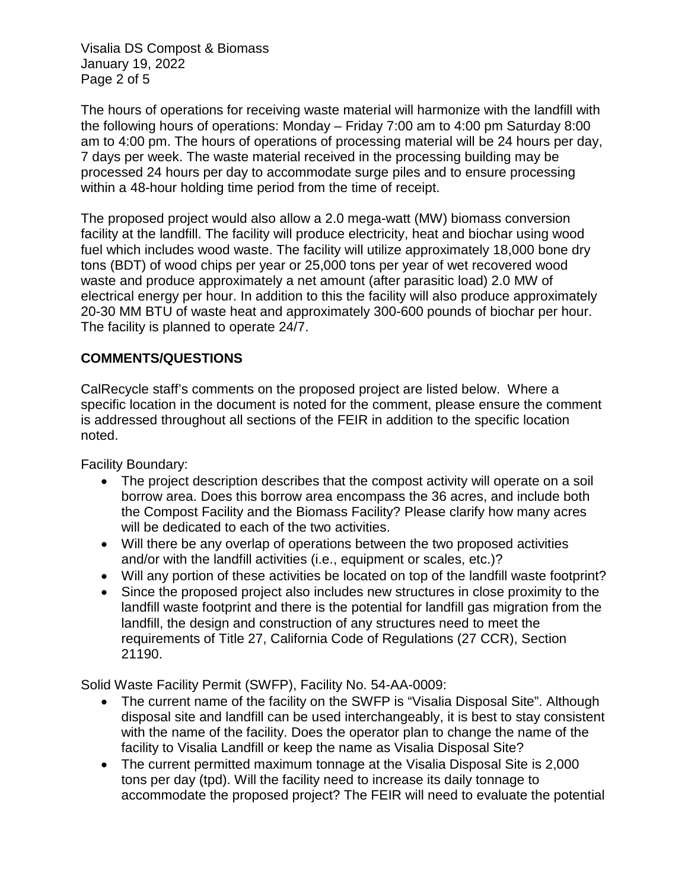Visalia DS Compost & Biomass January 19, 2022 Page 2 of 5

The hours of operations for receiving waste material will harmonize with the landfill with the following hours of operations: Monday – Friday 7:00 am to 4:00 pm Saturday 8:00 am to 4:00 pm. The hours of operations of processing material will be 24 hours per day, 7 days per week. The waste material received in the processing building may be processed 24 hours per day to accommodate surge piles and to ensure processing within a 48-hour holding time period from the time of receipt.

The proposed project would also allow a 2.0 mega-watt (MW) biomass conversion facility at the landfill. The facility will produce electricity, heat and biochar using wood fuel which includes wood waste. The facility will utilize approximately 18,000 bone dry tons (BDT) of wood chips per year or 25,000 tons per year of wet recovered wood waste and produce approximately a net amount (after parasitic load) 2.0 MW of electrical energy per hour. In addition to this the facility will also produce approximately 20-30 MM BTU of waste heat and approximately 300-600 pounds of biochar per hour. The facility is planned to operate 24/7.

# **COMMENTS/QUESTIONS**

CalRecycle staff's comments on the proposed project are listed below. Where a specific location in the document is noted for the comment, please ensure the comment is addressed throughout all sections of the FEIR in addition to the specific location noted.

Facility Boundary:

- The project description describes that the compost activity will operate on a soil borrow area. Does this borrow area encompass the 36 acres, and include both the Compost Facility and the Biomass Facility? Please clarify how many acres will be dedicated to each of the two activities.
- Will there be any overlap of operations between the two proposed activities and/or with the landfill activities (i.e., equipment or scales, etc.)?
- Will any portion of these activities be located on top of the landfill waste footprint?
- Since the proposed project also includes new structures in close proximity to the landfill waste footprint and there is the potential for landfill gas migration from the landfill, the design and construction of any structures need to meet the requirements of Title 27, California Code of Regulations (27 CCR), Section 21190.

Solid Waste Facility Permit (SWFP), Facility No. 54-AA-0009:

- The current name of the facility on the SWFP is "Visalia Disposal Site". Although disposal site and landfill can be used interchangeably, it is best to stay consistent with the name of the facility. Does the operator plan to change the name of the facility to Visalia Landfill or keep the name as Visalia Disposal Site?
- The current permitted maximum tonnage at the Visalia Disposal Site is 2,000 tons per day (tpd). Will the facility need to increase its daily tonnage to accommodate the proposed project? The FEIR will need to evaluate the potential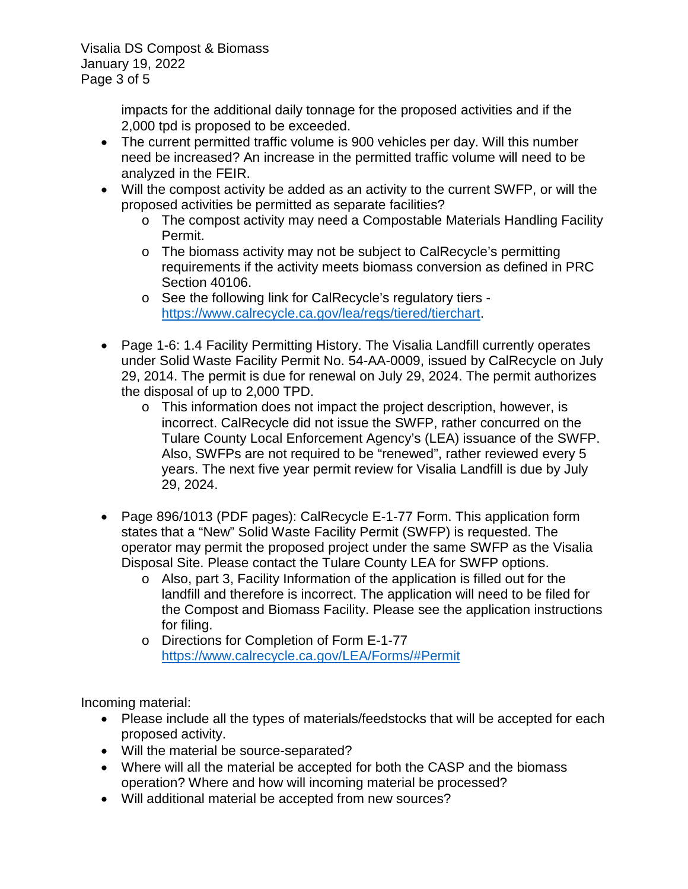Visalia DS Compost & Biomass January 19, 2022 Page 3 of 5

> impacts for the additional daily tonnage for the proposed activities and if the 2,000 tpd is proposed to be exceeded.

- The current permitted traffic volume is 900 vehicles per day. Will this number need be increased? An increase in the permitted traffic volume will need to be analyzed in the FEIR.
- Will the compost activity be added as an activity to the current SWFP, or will the proposed activities be permitted as separate facilities?
	- o The compost activity may need a Compostable Materials Handling Facility Permit.
	- o The biomass activity may not be subject to CalRecycle's permitting requirements if the activity meets biomass conversion as defined in PRC Section 40106.
	- o See the following link for CalRecycle's regulatory tiers [https://www.calrecycle.ca.gov/lea/regs/tiered/tierchart.](https://www.calrecycle.ca.gov/lea/regs/tiered/tierchart)
- Page 1-6: 1.4 Facility Permitting History. The Visalia Landfill currently operates under Solid Waste Facility Permit No. 54-AA-0009, issued by CalRecycle on July 29, 2014. The permit is due for renewal on July 29, 2024. The permit authorizes the disposal of up to 2,000 TPD.
	- o This information does not impact the project description, however, is incorrect. CalRecycle did not issue the SWFP, rather concurred on the Tulare County Local Enforcement Agency's (LEA) issuance of the SWFP. Also, SWFPs are not required to be "renewed", rather reviewed every 5 years. The next five year permit review for Visalia Landfill is due by July 29, 2024.
- Page 896/1013 (PDF pages): CalRecycle E-1-77 Form. This application form states that a "New" Solid Waste Facility Permit (SWFP) is requested. The operator may permit the proposed project under the same SWFP as the Visalia Disposal Site. Please contact the Tulare County LEA for SWFP options.
	- o Also, part 3, Facility Information of the application is filled out for the landfill and therefore is incorrect. The application will need to be filed for the Compost and Biomass Facility. Please see the application instructions for filing.
	- o Directions for Completion of Form E-1-77 <https://www.calrecycle.ca.gov/LEA/Forms/#Permit>

Incoming material:

- Please include all the types of materials/feedstocks that will be accepted for each proposed activity.
- Will the material be source-separated?
- Where will all the material be accepted for both the CASP and the biomass operation? Where and how will incoming material be processed?
- Will additional material be accepted from new sources?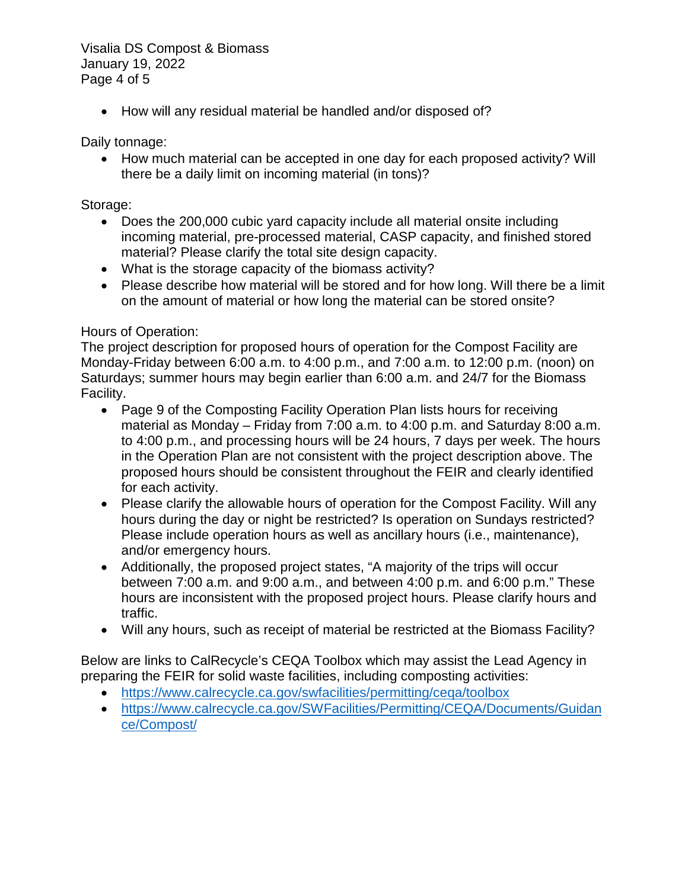Visalia DS Compost & Biomass January 19, 2022 Page 4 of 5

• How will any residual material be handled and/or disposed of?

Daily tonnage:

• How much material can be accepted in one day for each proposed activity? Will there be a daily limit on incoming material (in tons)?

#### Storage:

- Does the 200,000 cubic yard capacity include all material onsite including incoming material, pre-processed material, CASP capacity, and finished stored material? Please clarify the total site design capacity.
- What is the storage capacity of the biomass activity?
- Please describe how material will be stored and for how long. Will there be a limit on the amount of material or how long the material can be stored onsite?

### Hours of Operation:

The project description for proposed hours of operation for the Compost Facility are Monday-Friday between 6:00 a.m. to 4:00 p.m., and 7:00 a.m. to 12:00 p.m. (noon) on Saturdays; summer hours may begin earlier than 6:00 a.m. and 24/7 for the Biomass Facility.

- Page 9 of the Composting Facility Operation Plan lists hours for receiving material as Monday – Friday from 7:00 a.m. to 4:00 p.m. and Saturday 8:00 a.m. to 4:00 p.m., and processing hours will be 24 hours, 7 days per week. The hours in the Operation Plan are not consistent with the project description above. The proposed hours should be consistent throughout the FEIR and clearly identified for each activity.
- Please clarify the allowable hours of operation for the Compost Facility. Will any hours during the day or night be restricted? Is operation on Sundays restricted? Please include operation hours as well as ancillary hours (i.e., maintenance), and/or emergency hours.
- Additionally, the proposed project states, "A majority of the trips will occur between 7:00 a.m. and 9:00 a.m., and between 4:00 p.m. and 6:00 p.m." These hours are inconsistent with the proposed project hours. Please clarify hours and traffic.
- Will any hours, such as receipt of material be restricted at the Biomass Facility?

Below are links to CalRecycle's CEQA Toolbox which may assist the Lead Agency in preparing the FEIR for solid waste facilities, including composting activities:

- https://www.calrecycle.ca.gov/swfacilities/permitting/cega/toolbox
- [https://www.calrecycle.ca.gov/SWFacilities/Permitting/CEQA/Documents/Guidan](https://www.calrecycle.ca.gov/SWFacilities/Permitting/CEQA/Documents/Guidance/Compost/) [ce/Compost/](https://www.calrecycle.ca.gov/SWFacilities/Permitting/CEQA/Documents/Guidance/Compost/)